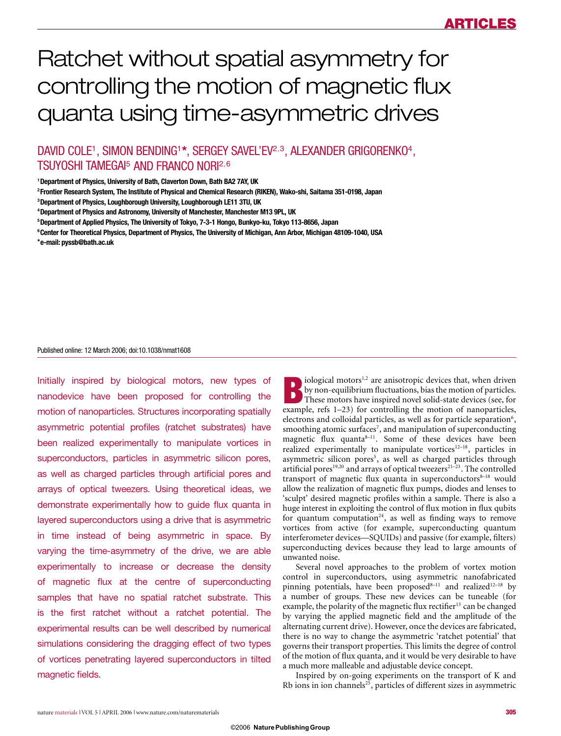# Ratchet without spatial asymmetry for controlling the motion of magnetic flux quanta using time-asymmetric drives

DAVID COLE<sup>1</sup>, SIMON BENDING<sup>1\*</sup>, SERGEY SAVEL'EV<sup>2,3</sup>, ALEXANDER GRIGORENKO<sup>4</sup>, TSUYOSHI TAMEGAI<sup>5</sup> AND FRANCO NORI<sup>2</sup>,<sup>6</sup>

**1 Department of Physics, University of Bath, Claverton Down, Bath BA2 7AY, UK**

**2 Frontier Research System, The Institute of Physical and Chemical Research (RIKEN), Wako-shi, Saitama 351-0198, Japan**

**3 Department of Physics, Loughborough University, Loughborough LE11 3TU, UK**

**6 Center for Theoretical Physics, Department of Physics, The University of Michigan, Ann Arbor, Michigan 48109-1040, USA**

**\*e-mail: pyssb@bath.ac.uk**

#### Published online: 12 March 2006; doi:10.1038/nmat1608

Initially inspired by biological motors, new types of nanodevice have been proposed for controlling the motion of nanoparticles. Structures incorporating spatially asymmetric potential profiles (ratchet substrates) have been realized experimentally to manipulate vortices in superconductors, particles in asymmetric silicon pores, as well as charged particles through artificial pores and arrays of optical tweezers. Using theoretical ideas, we demonstrate experimentally how to guide flux quanta in layered superconductors using a drive that is asymmetric in time instead of being asymmetric in space. By varying the time-asymmetry of the drive, we are able experimentally to increase or decrease the density of magnetic flux at the centre of superconducting samples that have no spatial ratchet substrate. This is the first ratchet without a ratchet potential. The experimental results can be well described by numerical simulations considering the dragging effect of two types of vortices penetrating layered superconductors in tilted magnetic fields.

**B**iological motors<sup>1,2</sup> are anisotropic devices that, when driven<br>by non-equilibrium fluctuations, bias the motion of particles.<br>These motors have inspired novel solid-state devices (see, for<br>example refs 1–23) for contro by non-equilibrium fluctuations, bias the motion of particles. example, refs 1–23) for controlling the motion of nanoparticles, electrons and colloidal particles, as well as for particle separation<sup>6</sup>, smoothing atomic surfaces<sup>7</sup>, and manipulation of superconducting magnetic flux quanta $8-11$ . Some of these devices have been realized experimentally to manipulate vortices<sup>12–18</sup>, particles in asymmetric silicon pores<sup>5</sup>, as well as charged particles through artificial pores<sup>19,20</sup> and arrays of optical tweezers<sup>21–23</sup>. The controlled transport of magnetic flux quanta in superconductors<sup>8-18</sup> would allow the realization of magnetic flux pumps, diodes and lenses to 'sculpt' desired magnetic profiles within a sample. There is also a huge interest in exploiting the control of flux motion in flux qubits for quantum computation<sup>24</sup>, as well as finding ways to remove vortices from active (for example, superconducting quantum interferometer devices—SQUIDs) and passive (for example, filters) superconducting devices because they lead to large amounts of unwanted noise.

Several novel approaches to the problem of vortex motion control in superconductors, using asymmetric nanofabricated pinning potentials, have been proposed<sup>8-11</sup> and realized<sup>12-18</sup> by a number of groups. These new devices can be tuneable (for example, the polarity of the magnetic flux rectifier<sup>13</sup> can be changed by varying the applied magnetic field and the amplitude of the alternating current drive). However, once the devices are fabricated, there is no way to change the asymmetric 'ratchet potential' that governs their transport properties. This limits the degree of control of the motion of flux quanta, and it would be very desirable to have a much more malleable and adjustable device concept.

Inspired by on-going experiments on the transport of K and Rb ions in ion channels<sup>25</sup>, particles of different sizes in asymmetric

**<sup>4</sup> Department of Physics and Astronomy, University of Manchester, Manchester M13 9PL, UK**

**<sup>5</sup> Department of Applied Physics, The University of Tokyo, 7-3-1 Hongo, Bunkyo-ku, Tokyo 113-8656, Japan**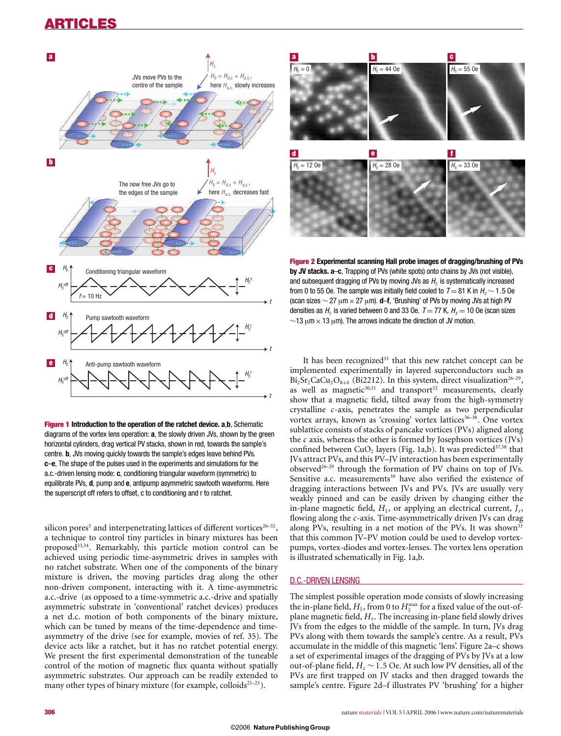

**Figure 1 Introduction to the operation of the ratchet device. a**,**b**, Schematic diagrams of the vortex lens operation: **a**, the slowly driven JVs, shown by the green horizontal cylinders, drag vertical PV stacks, shown in red, towards the sample's centre. **b**, JVs moving quickly towards the sample's edges leave behind PVs. **c**–**e**, The shape of the pulses used in the experiments and simulations for the a.c.-driven lensing mode: **c**, conditioning triangular waveform (symmetric) to equilibrate PVs, **d**, pump and **e**, antipump asymmetric sawtooth waveforms. Here the superscript off refers to offset, c to conditioning and r to ratchet.

silicon pores<sup>5</sup> and interpenetrating lattices of different vortices<sup>26-32</sup>, a technique to control tiny particles in binary mixtures has been proposed<sup>33,34</sup>. Remarkably, this particle motion control can be achieved using periodic time-asymmetric drives in samples with no ratchet substrate. When one of the components of the binary mixture is driven, the moving particles drag along the other non-driven component, interacting with it. A time-asymmetric a.c.-drive (as opposed to a time-symmetric a.c.-drive and spatially asymmetric substrate in 'conventional' ratchet devices) produces a net d.c. motion of both components of the binary mixture, which can be tuned by means of the time-dependence and timeasymmetry of the drive (see for example, movies of ref. 35). The device acts like a ratchet, but it has no ratchet potential energy. We present the first experimental demonstration of the tuneable control of the motion of magnetic flux quanta without spatially asymmetric substrates. Our approach can be readily extended to many other types of binary mixture (for example, colloids $2^{1-23}$ ).



**Figure 2 Experimental scanning Hall probe images of dragging/brushing of PVs by JV stacks. a**–**c**, Trapping of PVs (white spots) onto chains by JVs (not visible), and subsequent dragging of PVs by moving JVs as  $H_{\parallel}$  is systematically increased from 0 to 55 Oe. The sample was initially field cooled to  $T = 81$  K in  $H<sub>z</sub>$   $\sim$  1.5 Oe (scan sizes ∼ 27 μm×27 μm). **d**–**f**, 'Brushing' of PVs by moving JVs at high PV densities as  $H_{\parallel}$  is varied between 0 and 33 Oe.  $T = 77$  K,  $H_{z} = 10$  Oe (scan sizes  $~\sim$ 13 μm  $\times$  13 μm). The arrows indicate the direction of JV motion.

It has been recognized<sup>33</sup> that this new ratchet concept can be implemented experimentally in layered superconductors such as  $Bi_2Sr_2CaCu_2O_{8+\delta}$  (Bi2212). In this system, direct visualization<sup>26–29</sup>, as well as magnetic $30,31$  and transport $32$  measurements, clearly show that a magnetic field, tilted away from the high-symmetry crystalline *c*-axis, penetrates the sample as two perpendicular vortex arrays, known as 'crossing' vortex lattices<sup>36-38</sup>. One vortex sublattice consists of stacks of pancake vortices (PVs) aligned along the *c* axis, whereas the other is formed by Josephson vortices (JVs) confined between  $CuO<sub>2</sub>$  layers (Fig. 1a,b). It was predicted<sup>37,38</sup> that JVs attract PVs, and this PV–JV interaction has been experimentally observed<sup>26–29</sup> through the formation of PV chains on top of JVs. Sensitive a.c. measurements<sup>39</sup> have also verified the existence of dragging interactions between JVs and PVs. JVs are usually very weakly pinned and can be easily driven by changing either the in-plane magnetic field,  $H_{\parallel}$ , or applying an electrical current,  $J_z$ , flowing along the *c*-axis. Time-asymmetrically driven JVs can drag along PVs, resulting in a net motion of the PVs. It was shown<sup>33</sup> that this common JV–PV motion could be used to develop vortexpumps, vortex-diodes and vortex-lenses. The vortex lens operation is illustrated schematically in Fig. 1a,b.

#### D.C.-DRIVEN LENSING

The simplest possible operation mode consists of slowly increasing the in-plane field,  $H_{\parallel}$ , from 0 to  $H_{\parallel}^{\rm max}$  for a fixed value of the out-of--plane magnetic field, *Hz*. The increasing in-plane field slowly drives JVs from the edges to the middle of the sample. In turn, JVs drag PVs along with them towards the sample's centre. As a result, PVs accumulate in the middle of this magnetic 'lens'. Figure 2a–c shows a set of experimental images of the dragging of PVs by JVs at a low out-of-plane field, *Hz* ∼ 1.5 Oe. At such low PV densities, all of the PVs are first trapped on JV stacks and then dragged towards the sample's centre. Figure 2d–f illustrates PV 'brushing' for a higher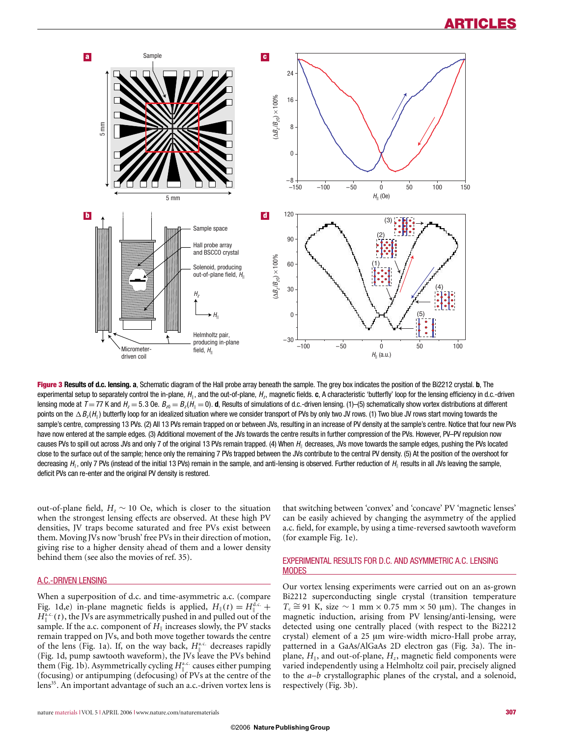

**Figure 3 Results of d.c. lensing. a**, Schematic diagram of the Hall probe array beneath the sample. The grey box indicates the position of the Bi2212 crystal. **b**, The experimental setup to separately control the in-plane,  $H_{\parallel}$ , and the out-of-plane,  $H_z$ , magnetic fields. **c**, A characteristic 'butterfly' loop for the lensing efficiency in d.c.-driven lensing mode at  $\mathcal{T}=77$  K and  $H_z=5.3$  Oe.  $B_{z0}=B_z(H_{\parallel}=0)$ . **d**, Results of simulations of d.c.-driven lensing. (1)–(5) schematically show vortex distributions at different points on the  $\Delta\,B_z(H_{\scriptscriptstyle\parallel})$  butterfly loop for an idealized situation where we consider transport of PVs by only two JV rows. (1) Two blue JV rows start moving towards the sample's centre, compressing 13 PVs. (2) All 13 PVs remain trapped on or between JVs, resulting in an increase of PV density at the sample's centre. Notice that four new PVs have now entered at the sample edges. (3) Additional movement of the JVs towards the centre results in further compression of the PVs. However, PV–PV repulsion now causes PVs to spill out across JVs and only 7 of the original 13 PVs remain trapped. (4) When  $H_{_\parallel}$  decreases, JVs move towards the sample edges, pushing the PVs located close to the surface out of the sample; hence only the remaining 7 PVs trapped between the JVs contribute to the central PV density. (5) At the position of the overshoot for decreasing  $H_{\parallel}$ , only 7 PVs (instead of the initial 13 PVs) remain in the sample, and anti-lensing is observed. Further reduction of  $H_{\parallel}$  results in all JVs leaving the sample, deficit PVs can re-enter and the original PV density is restored.

out-of-plane field,  $H_z \sim 10$  Oe, which is closer to the situation when the strongest lensing effects are observed. At these high PV densities, JV traps become saturated and free PVs exist between them. Moving JVs now 'brush' free PVs in their direction of motion, giving rise to a higher density ahead of them and a lower density behind them (see also the movies of ref. 35).

### A.C.-DRIVEN LENSING

When a superposition of d.c. and time-asymmetric a.c. (compare Fig. 1d,e) in-plane magnetic fields is applied,  $H_{\parallel}(t) = H_{\parallel}^{d.c.} +$  $H_0^{\alpha,c}(t)$ , the JVs are asymmetrically pushed in and pulled out of the sample. If the a.c. component of *H*<sub>|</sub> increases slowly, the PV stacks remain trapped on JVs, and both move together towards the centre of the lens (Fig. 1a). If, on the way back,  $H<sub>n</sub><sup>a.c.</sup>$  decreases rapidly -(Fig. 1d, pump sawtooth waveform), the JVs leave the PVs behind them (Fig. 1b). Asymmetrically cycling  $H_{\parallel}^{\text{a.c.}}$  causes either pumping -(focusing) or antipumping (defocusing) of PVs at the centre of the lens<sup>35</sup>. An important advantage of such an a.c.-driven vortex lens is that switching between 'convex' and 'concave' PV 'magnetic lenses' can be easily achieved by changing the asymmetry of the applied a.c. field, for example, by using a time-reversed sawtooth waveform (for example Fig. 1e).

#### EXPERIMENTAL RESULTS FOR D.C. AND ASYMMETRIC A.C. LENSING **MODES**

Our vortex lensing experiments were carried out on an as-grown Bi2212 superconducting single crystal (transition temperature  $T_c \cong 91$  K, size ∼ 1 mm × 0.75 mm × 50 µm). The changes in magnetic induction, arising from PV lensing/anti-lensing, were detected using one centrally placed (with respect to the Bi2212 crystal) element of a 25 μm wire-width micro-Hall probe array, patterned in a GaAs/AlGaAs 2D electron gas (Fig. 3a). The inplane,  $H_{\parallel}$ , and out-of-plane,  $H_z$ , magnetic field components were varied independently using a Helmholtz coil pair, precisely aligned to the *a*–*b* crystallographic planes of the crystal, and a solenoid, respectively (Fig. 3b).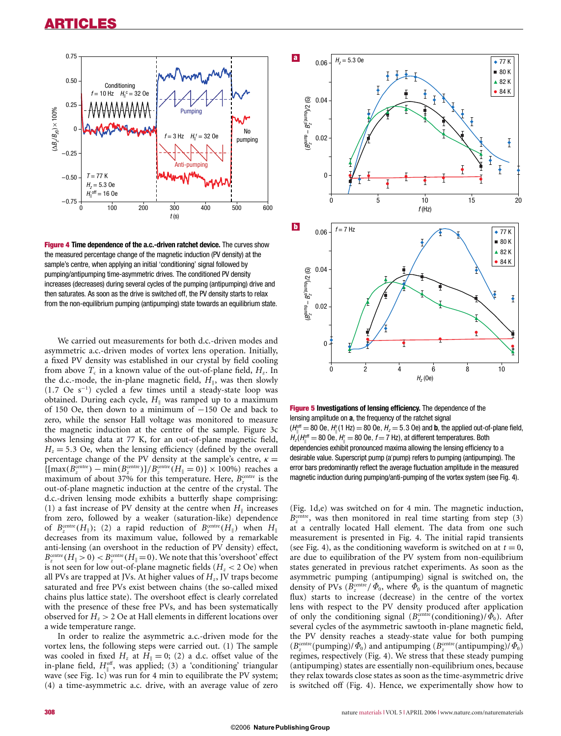

**Figure 4 Time dependence of the a.c.-driven ratchet device.** The curves show the measured percentage change of the magnetic induction (PV density) at the sample's centre, when applying an initial 'conditioning' signal followed by pumping/antipumping time-asymmetric drives. The conditioned PV density increases (decreases) during several cycles of the pumping (antipumping) drive and then saturates. As soon as the drive is switched off, the PV density starts to relax from the non-equilibrium pumping (antipumping) state towards an equilibrium state.

We carried out measurements for both d.c.-driven modes and asymmetric a.c.-driven modes of vortex lens operation. Initially, a fixed PV density was established in our crystal by field cooling from above  $T_c$  in a known value of the out-of-plane field,  $H_z$ . In the d.c.-mode, the in-plane magnetic field,  $H_{\parallel}$ , was then slowly (1.7 Oe s−<sup>1</sup> ) cycled a few times until a steady-state loop was obtained. During each cycle,  $H_{\parallel}$  was ramped up to a maximum of 150 Oe, then down to a minimum of −150 Oe and back to zero, while the sensor Hall voltage was monitored to measure the magnetic induction at the centre of the sample. Figure 3c shows lensing data at 77 K, for an out-of-plane magnetic field,  $H<sub>z</sub> = 5.3$  Oe, when the lensing efficiency (defined by the overall percentage change of the PV density at the sample's centre,  $\kappa =$  $\left\{ \left[ \max(B_z^{\text{centre}}) - \min(B_z^{\text{centre}}) \right] / B_z^{\text{centre}}(H_{\parallel} = 0) \right\} \times 100\% \right\}$  reaches a maximum of about 37% for this temperature. Here,  $B_z^{\text{centre}}$  is the out-of-plane magnetic induction at the centre of the crystal. The d.c.-driven lensing mode exhibits a butterfly shape comprising: (1) a fast increase of PV density at the centre when  $H_{\parallel}$  increases from zero, followed by a weaker (saturation-like) dependence of  $B_z^{\text{centre}}(H_{\parallel})$ ; (2) a rapid reduction of  $B_z^{\text{centre}}(H_{\parallel})$  when  $H_{\parallel}$ decreases from its maximum value, followed by a remarkable anti-lensing (an overshoot in the reduction of PV density) effect,  $B_z^{\text{centre}}(H_{\parallel} > 0) < B_z^{\text{centre}}(H_{\parallel} = 0)$ . We note that this 'overshoot' effect is not seen for low out-of-plane magnetic fields  $(H<sub>z</sub> < 2 \text{ Oe})$  when all PVs are trapped at JVs. At higher values of *Hz*, JV traps become saturated and free PVs exist between chains (the so-called mixed chains plus lattice state). The overshoot effect is clearly correlated with the presence of these free PVs, and has been systematically observed for  $H<sub>z</sub> > 2$  Oe at Hall elements in different locations over a wide temperature range.

In order to realize the asymmetric a.c.-driven mode for the vortex lens, the following steps were carried out. (1) The sample was cooled in fixed  $H_z$  at  $H_{\parallel} = 0$ ; (2) a d.c. offset value of the in-plane field,  $H_{\parallel}^{\text{off}}$ , was applied; (3) a 'conditioning' triangular wave (see Fig. 1c) was run for 4 min to equilibrate the PV system; (4) a time-asymmetric a.c. drive, with an average value of zero



**Figure 5 Investigations of lensing efficiency.** The dependence of the lensing amplitude on **a**, the frequency of the ratchet signal  $(H_{\parallel}^{\text{off}}=80$  Oe,  $H_{\parallel}^{\text{r}}(1 \text{ Hz})=80$  Oe,  $H_{z}=5.3$  Oe) and **b**, the applied out-of-plane field,  $H_z$ ( $H_{\parallel}^{off}$  = 80 Oe,  $H_{\parallel}$  = 80 Oe, f = 7 Hz), at different temperatures. Both dependencies exhibit pronounced maxima allowing the lensing efficiency to a desirable value. Superscript pump (a'pump) refers to pumping (antipumping). The error bars predominantly reflect the average fluctuation amplitude in the measured magnetic induction during pumping/anti-pumping of the vortex system (see Fig. 4).

(Fig. 1d,e) was switched on for 4 min. The magnetic induction,  $B<sub>z</sub><sup>centre</sup>$ , was then monitored in real time starting from step (3) at a centrally located Hall element. The data from one such measurement is presented in Fig. 4. The initial rapid transients (see Fig. 4), as the conditioning waveform is switched on at  $t = 0$ , are due to equilibration of the PV system from non-equilibrium states generated in previous ratchet experiments. As soon as the asymmetric pumping (antipumping) signal is switched on, the density of PVs ( $B_z^{\text{centre}}$  /  $\Phi_0$ , where  $\Phi_0$  is the quantum of magnetic flux) starts to increase (decrease) in the centre of the vortex lens with respect to the PV density produced after application of only the conditioning signal  $(B_z^{\text{centre}}(\text{conditioning})/\Phi_0)$ . After several cycles of the asymmetric sawtooth in-plane magnetic field, the PV density reaches a steady-state value for both pumping  $(B_z^{\text{centre}}(\text{pumping})/\Phi_0)$  and antipumping  $(B_z^{\text{centre}}(\text{antipumping})/\Phi_0)$ regimes, respectively (Fig. 4). We stress that these steady pumping (antipumping) states are essentially non-equilibrium ones, because they relax towards close states as soon as the time-asymmetric drive is switched off (Fig. 4). Hence, we experimentally show how to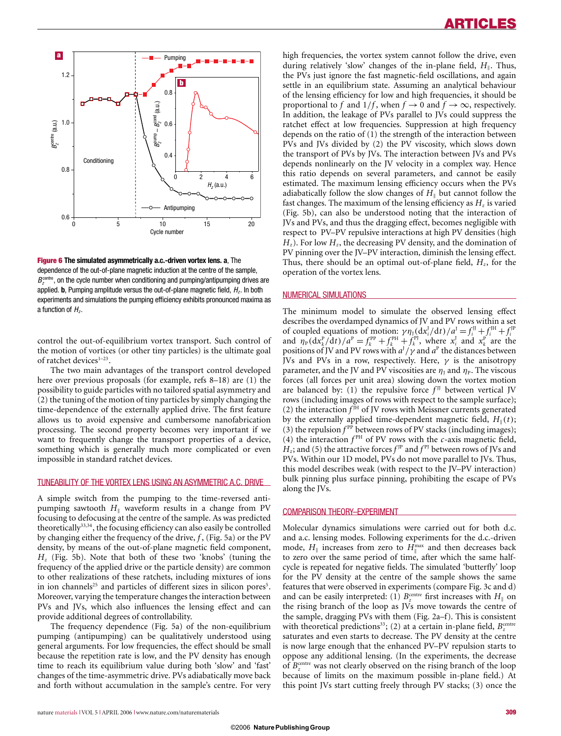

**Figure 6 The simulated asymmetrically a.c.-driven vortex lens. a**, The dependence of the out-of-plane magnetic induction at the centre of the sample,  $B_z^{\text{centre}}$ , on the cycle number when conditioning and pumping/antipumping drives are applied. **b**, Pumping amplitude versus the out-of-plane magnetic field,  $H<sub>z</sub>$ , In both experiments and simulations the pumping efficiency exhibits pronounced maxima as a function of  $H<sub>z</sub>$ .

control the out-of-equilibrium vortex transport. Such control of the motion of vortices (or other tiny particles) is the ultimate goal of ratchet devices<sup>1-23</sup>.

The two main advantages of the transport control developed here over previous proposals (for example, refs 8–18) are (1) the possibility to guide particles with no tailored spatial asymmetry and (2) the tuning of the motion of tiny particles by simply changing the time-dependence of the externally applied drive. The first feature allows us to avoid expensive and cumbersome nanofabrication processing. The second property becomes very important if we want to frequently change the transport properties of a device, something which is generally much more complicated or even impossible in standard ratchet devices.

### TUNEABILITY OF THE VORTEX LENS USING AN ASYMMETRIC A.C. DRIVE

A simple switch from the pumping to the time-reversed antipumping sawtooth  $H_{\parallel}$  waveform results in a change from PV focusing to defocusing at the centre of the sample. As was predicted theoretically<sup>33,34</sup>, the focusing efficiency can also easily be controlled by changing either the frequency of the drive, *f* , (Fig. 5a) or the PV density, by means of the out-of-plane magnetic field component, *Hz* (Fig. 5b). Note that both of these two 'knobs' (tuning the frequency of the applied drive or the particle density) are common to other realizations of these ratchets, including mixtures of ions in ion channels<sup>25</sup> and particles of different sizes in silicon pores<sup>5</sup>. Moreover, varying the temperature changes the interaction between PVs and JVs, which also influences the lensing effect and can provide additional degrees of controllability.

The frequency dependence (Fig. 5a) of the non-equilibrium pumping (antipumping) can be qualitatively understood using general arguments. For low frequencies, the effect should be small because the repetition rate is low, and the PV density has enough time to reach its equilibrium value during both 'slow' and 'fast' changes of the time-asymmetric drive. PVs adiabatically move back and forth without accumulation in the sample's centre. For very high frequencies, the vortex system cannot follow the drive, even during relatively 'slow' changes of the in-plane field,  $H_{\parallel}$ . Thus, the PVs just ignore the fast magnetic-field oscillations, and again settle in an equilibrium state. Assuming an analytical behaviour of the lensing efficiency for low and high frequencies, it should be proportional to *f* and  $1/f$ , when  $f \rightarrow 0$  and  $f \rightarrow \infty$ , respectively. In addition, the leakage of PVs parallel to JVs could suppress the ratchet effect at low frequencies. Suppression at high frequency depends on the ratio of (1) the strength of the interaction between PVs and JVs divided by (2) the PV viscosity, which slows down the transport of PVs by JVs. The interaction between JVs and PVs depends nonlinearly on the JV velocity in a complex way. Hence this ratio depends on several parameters, and cannot be easily estimated. The maximum lensing efficiency occurs when the PVs adiabatically follow the slow changes of  $H_{\parallel}$  but cannot follow the fast changes. The maximum of the lensing efficiency as  $H<sub>z</sub>$  is varied (Fig. 5b), can also be understood noting that the interaction of JVs and PVs, and thus the dragging effect, becomes negligible with respect to PV–PV repulsive interactions at high PV densities (high *H<sub>z</sub>*). For low *H<sub>z</sub>*, the decreasing PV density, and the domination of PV pinning over the JV–PV interaction, diminish the lensing effect. Thus, there should be an optimal out-of-plane field, *Hz*, for the operation of the vortex lens.

#### NUMERICAL SIMULATIONS

The minimum model to simulate the observed lensing effect describes the overdamped dynamics of JV and PV rows within a set of coupled equations of motion:  $\gamma \eta_1(\mathrm{d}x_i^1/\mathrm{d}t)/a^1 = f_i^{\mathrm{II}} + f_i^{\mathrm{IH}} + f_i^{\mathrm{Pl}}$ <br>and  $\eta_P(\mathrm{d}x_k^P/\mathrm{d}t)/a^P = f_k^{\mathrm{PP}} + f_k^{\mathrm{PH}} + f_k^{\mathrm{Pl}}$ , where  $x_i^1$  and  $x_k^P$  are the positions of JV and PV rows with  $a^J/\gamma$  and  $a^P$  the distances between JVs and PVs in a row, respectively. Here,  $\gamma$  is the anisotropy parameter, and the JV and PV viscosities are  $\eta_1$  and  $\eta_2$ . The viscous forces (all forces per unit area) slowing down the vortex motion are balanced by: (1) the repulsive force  $f^{IJ}$  between vertical JV rows (including images of rows with respect to the sample surface); (2) the interaction  $f^{\text{H}}$  of JV rows with Meissner currents generated by the externally applied time-dependent magnetic field,  $H_{\parallel}(t)$ ; (3) the repulsion  $f^{PP}$  between rows of PV stacks (including images); (4) the interaction  $f<sup>PH</sup>$  of PV rows with the *c*-axis magnetic field,  $H<sub>z</sub>$ ; and (5) the attractive forces  $f<sup>IP</sup>$  and  $f<sup>PI</sup>$  between rows of JVs and PVs. Within our 1D model, PVs do not move parallel to JVs. Thus, this model describes weak (with respect to the JV–PV interaction) bulk pinning plus surface pinning, prohibiting the escape of PVs along the JVs.

#### COMPARISON THEORY–EXPERIMENT

Molecular dynamics simulations were carried out for both d.c. and a.c. lensing modes. Following experiments for the d.c.-driven mode,  $H_{\parallel}$  increases from zero to  $H_{\parallel}^{\text{max}}$  and then decreases back to zero over the same period of time, after which the same halfcycle is repeated for negative fields. The simulated 'butterfly' loop for the PV density at the centre of the sample shows the same features that were observed in experiments (compare Fig. 3c and d) and can be easily interpreted: (1)  $B_z^{\text{centre}}$  first increases with  $H_{\parallel}$  on the rising branch of the loop as JVs move towards the centre of the sample, dragging PVs with them (Fig. 2a–f). This is consistent with theoretical predictions<sup>33</sup>; (2) at a certain in-plane field,  $B_z^{\text{center}}$ saturates and even starts to decrease. The PV density at the centre is now large enough that the enhanced PV–PV repulsion starts to oppose any additional lensing. (In the experiments, the decrease of  $B_z^{\text{centre}}$  was not clearly observed on the rising branch of the loop because of limits on the maximum possible in-plane field.) At this point JVs start cutting freely through PV stacks; (3) once the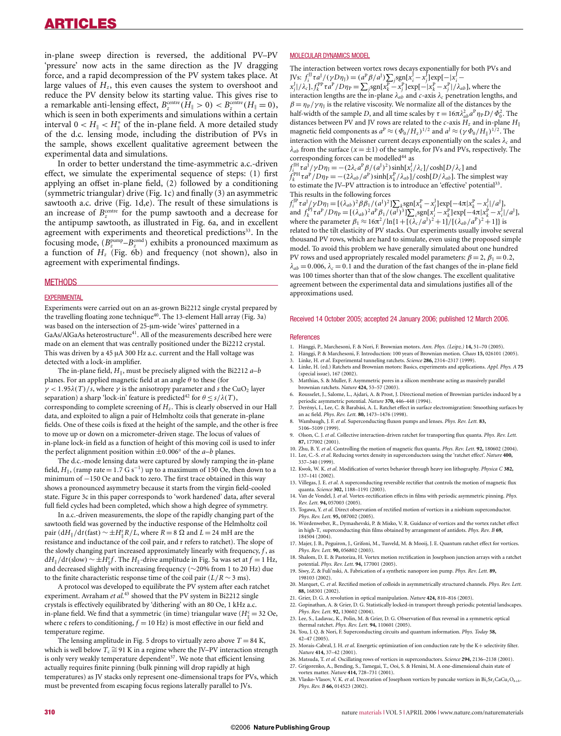in-plane sweep direction is reversed, the additional PV–PV 'pressure' now acts in the same direction as the JV dragging force, and a rapid decompression of the PV system takes place. At large values of  $H_z$ , this even causes the system to overshoot and reduce the PV density below its starting value. This gives rise to a remarkable anti-lensing effect,  $B_z^{\text{centre}}(H_{\parallel} > 0) < B_z^{\text{centre}}(H_{\parallel} = 0)$ , which is seen in both experiments and simulations within a certain interval  $0 < H_{\parallel} < H_{\parallel}^*$  of the in-plane field. A more detailed study -of the d.c. lensing mode, including the distribution of PVs in the sample, shows excellent qualitative agreement between the experimental data and simulations.

In order to better understand the time-asymmetric a.c.-driven effect, we simulate the experimental sequence of steps: (1) first applying an offset in-plane field, (2) followed by a conditioning (symmetric triangular) drive (Fig. 1c) and finally (3) an asymmetric sawtooth a.c. drive (Fig. 1d,e). The result of these simulations is an increase of  $B_z^{\text{centre}}$  for the pump sawtooth and a decrease for the antipump sawtooth, as illustrated in Fig. 6a, and in excellent agreement with experiments and theoretical predictions<sup>33</sup>. In the focusing mode,  $(B_z^{\text{pump}} - B_z^{\text{cond}})$  exhibits a pronounced maximum as a function of *Hz* (Fig. 6b) and frequency (not shown), also in agreement with experimental findings.

#### **METHODS**

#### **EXPERIMENTAL**

Experiments were carried out on an as-grown Bi2212 single crystal prepared by the travelling floating zone technique<sup>40</sup>. The 13-element Hall array (Fig. 3a) was based on the intersection of 25-μm-wide 'wires' patterned in a  $\mbox{GaAs}/\mbox{AlGaAs}$  heterostructure $^{41}$  . All of the measurements described here were made on an element that was centrally positioned under the Bi2212 crystal. This was driven by a 45 μA 300 Hz a.c. current and the Hall voltage was detected with a lock-in amplifier.

The in-plane field,  $H_{\parallel}$ , must be precisely aligned with the Bi2212 *a*-*b* planes. For an applied magnetic field at an angle  $\theta$  to these (for  $\gamma$  < 1.95 $\lambda$ (*T*)/*s*, where  $\gamma$  is the anisotropy parameter and *s* the CuO<sub>2</sub> layer separation) a sharp 'lock-in' feature is predicted<sup>42</sup> for  $\theta \le s/\lambda(T)$ , corresponding to complete screening of *Hz*. This is clearly observed in our Hall data, and exploited to align a pair of Helmholtz coils that generate in-plane fields. One of these coils is fixed at the height of the sample, and the other is free to move up or down on a micrometer-driven stage. The locus of values of in-plane lock-in field as a function of height of this moving coil is used to infer the perfect alignment position within  $\pm 0.006°$  of the *a*-*b* planes.

The d.c.-mode lensing data were captured by slowly ramping the in-plane field,  $H_{\parallel}$ , (ramp rate = 1.7 G s<sup>-1</sup>) up to a maximum of 150 Oe, then down to a minimum of −150 Oe and back to zero. The first trace obtained in this way shows a pronounced asymmetry because it starts from the virgin field-cooled state. Figure 3c in this paper corresponds to 'work hardened' data, after several full field cycles had been completed, which show a high degree of symmetry.

In a.c.-driven measurements, the slope of the rapidly changing part of the sawtooth field was governed by the inductive response of the Helmholtz coil pair (d $H_{\parallel}/dt$  (fast)  $\sim \pm H_{\parallel}^{\text{r}} R/L$ , where  $R = 8 \Omega$  and  $L = 24 \text{ mH}$  are the -resistance and inductance of the coil pair, and r refers to ratchet). The slope of the slowly changing part increased approximately linearly with frequency, *f* , as d*H*<sub>∥</sub> /d*t* (slow)  $\sim \pm H_{\parallel}^{\rm r}f$ . The *H*<sub>∥</sub>-drive amplitude in Fig. 5a was set at *f* = 1 Hz, -and decreased slightly with increasing frequency (∼20% from 1 to 20 Hz) due to the finite characteristic response time of the coil pair  $(L/R \sim 3 \text{ ms})$ .

A protocol was developed to equilibrate the PV system after each ratchet experiment. Avraham *et al.*<sup>43</sup> showed that the PV system in Bi2212 single crystals is effectively equilibrated by 'dithering' with an 80 Oe, 1 kHz a.c. in-plane field. We find that a symmetric (in time) triangular wave ( $H_{\parallel}^c = 32$  Oe, where c refers to conditioning,  $f = 10$  Hz) is most effective in our field and temperature regime.

The lensing amplitude in Fig. 5 drops to virtually zero above  $T = 84$  K, which is well below  $T_c \cong 91$  K in a regime where the JV–PV interaction strength is only very weakly temperature dependent<sup>37</sup>. We note that efficient lensing actually requires finite pinning (bulk pinning will drop rapidly at high temperatures) as JV stacks only represent one-dimensional traps for PVs, which must be prevented from escaping focus regions laterally parallel to JVs.

#### MOLECULAR DYNAMICS MODEL

The interaction between vortex rows decays exponentially for both PVs and JVs:  $f_i^{\text{IJ}} \tau a^J / (\gamma D \eta_1) = (a^P \beta / a^J) \sum_j \text{sgn}[x_i^J - x_j^J] \text{exp}[-|x_i^J - x_j^J|]/\lambda_c] f_k^{\text{PP}} \tau a^P / D \eta_P = \sum_j \text{sgn}[x_k^P - x_j^P] \text{exp}[-|x_k^P - x_j^P|]/\lambda_{ab}]$ , where the

interaction lengths are the in-plane  $\lambda_{ab}$  and *c*-axis  $\lambda_c$  penetration lengths, and  $\beta = \eta_P / \gamma \eta_I$  is the relative viscosity. We normalize all of the distances by the half-width of the sample *D*, and all time scales by  $\tau = 16\pi \lambda_{ab}^2 a^P \eta_P D / \Phi_0^2$ . The distances between PV and JV rows are related to the *c*-axis  $H_z$  and in-plane  $H_{\parallel}$ magnetic field components as  $a^P \approx (\Phi_0/H_z)^{1/2}$  and  $a^J \approx (\gamma \Phi_0/H_{\parallel})^{1/2}$ . The interaction with the Meissner current decays exponentially on the scales  $\lambda_c$  and  $\lambda_{ab}$  from the surface ( $x = \pm 1$ ) of the sample, for JVs and PVs, respectively. The corresponding forces can be modelled<sup>44</sup> as

 $f_{i_{\text{max}}}^{\text{JH}} \tau_a^J / \gamma D \eta_J = -(2\lambda_c a^P \beta/(a^J)^2) \sinh[x_i^J / \lambda_c] / \cosh[D/\lambda_c]$  and *f*<sup>PH</sup><sub>*k*</sub> *τa*<sup>P</sup> /*Dη*<sub>P</sub> = −(2λ<sub>*ab*</sub> /*a*<sup>P</sup>)sinh[*x*<sup>P</sup><sub>*k*</sub> / λ<sub>*ab*</sub>]/cosh[*D*/λ<sub>*ab*</sub>]. The simplest way to estimate the JV–PV attraction is to introduce an 'effective' potential<sup>33</sup>. This results in the following forces

 $f_i^{\text{IP}} \tau a J / \gamma D \eta_j = [(\lambda_{ab})^2 \beta \beta_1 / (a^J)^2] \sum_k \text{sgn}[x_k^{\text{P}} - x_j^{\text{I}}] \exp[-4\pi |x_k^{\text{P}} - x_j^{\text{I}}]/a^J],$ and  $f_k^{PI} \tau a^P / D \eta_P = [(\lambda_{ab})^2 a^P \beta_1 / (\overline{a^J})^3] \sum_i \text{sgn}[x_i^J - x_k^P] \exp[-4\pi |x_k^P - x_i^I| / a^J],$ where the parameter  $\beta_1 \approx 16\pi^2/\ln\{1 + [(\lambda_c/a^{\dagger})^2 + 1]/[(\lambda_{ab}/a^{\dagger})^2 + 1]\}$  is related to the tilt elasticity of PV stacks. Our experiments usually involve several thousand PV rows, which are hard to simulate, even using the proposed simple model. To avoid this problem we have generally simulated about one hundred PV rows and used appropriately rescaled model parameters:  $\beta = 2$ ,  $\beta_1 = 0.2$ ,  $\lambda_{ab} = 0.006$ ,  $\lambda_c = 0.1$  and the duration of the fast changes of the in-plane field was 100 times shorter than that of the slow changes. The excellent qualitative agreement between the experimental data and simulations justifies all of the approximations used.

#### Received 14 October 2005; accepted 24 January 2006; published 12 March 2006.

#### References

- 1. Hänggi, P., Marchesoni, F. & Nori, F. Brownian motors. *Ann. Phys. (Leipz.)* 14, 51–70 (2005).<br>2. Hänggi, P. & Marchesoni. E. Introduction: 100 years of Brownian motion. *Chaos* 15, 026101 (
- Hänggi, P. & Marchesoni, F. Introduction: 100 years of Brownian motion. *Chaos* 15, 026101 (2005).
- 3. Linke, H. *et al*. Experimental tunneling ratchets. *Science* **286,** 2314–2317 (1999). 4. Linke, H. (ed.) Ratchets and Brownian motors: Basics, experiments and applications. *Appl. Phys. A* **75**
- (special issue), 167 (2002). 5. Matthias, S. & Muller, F. Asymmetric pores in a silicon membrane acting as massively parallel
- brownian ratchets. *Nature* **424,** 53–57 (2003). 6. Rousselet, J., Salome, L., Ajdari, A. & Prost, J. Directional motion of Brownian particles induced by a
- periodic asymmetric potential. *Nature* **370,** 446–448 (1994). 7. Derényi, I., Lee, C. & Barabási, A. L. Ratchet effect in surface electromigration: Smoothing surfaces by
- an ac field. *Phys. Rev. Lett.* **80,** 1473–1476 (1998).
- 8. Wambaugh, J. F. *et al*. Superconducting fluxon pumps and lenses. *Phys. Rev. Lett.* **83,** 5106–5109 (1999).
- 9. Olson, C. J. *et al*. Collective interaction-driven ratchet for transporting flux quanta. *Phys. Rev. Lett.* **87,** 177002 (2001).
- 10. Zhu, B. Y. *et al*. Controlling the motion of magnetic flux quanta. *Phys. Rev. Lett.* **92,** 180602 (2004).
- 11. Lee, C.-S. *et al*. Reducing vortex density in superconductors using the 'ratchet effect'. *Nature* **400,** 337–340 (1999).
- 12. Kwok, W. K. *et al*. Modification of vortex behavior through heavy ion lithography. *Physica C* **382,** 137–141 (2002).
- 13. Villegas, J. E. *et al*. A superconducting reversible rectifier that controls the motion of magnetic flux quanta. *Science* **302,** 1188–1191 (2003).
- 14. Van de Vondel, J. *et al*. Vortex-rectification effects in films with periodic asymmetric pinning. *Phys. Rev. Lett.* **94,** 057003 (2005).
- 15. Togawa, Y. *et al*. Direct observation of rectified motion of vortices in a niobium superconductor. *Phys. Rev. Lett.* **95,** 087002 (2005).
- 16. Wördenweber, R., Dymashevski, P. & Misko, V. R. Guidance of vortices and the vortex ratchet effect in high-T<sub>c</sub> superconducting thin films obtained by arrangement of antidots. *Phys. Rev. B* 69, 184504 (2004).
- 17. Majer, J. B., Peguiron, J., Grifoni, M., Tusveld, M. & Mooij, J. E. Quantum ratchet effect for vortices. *Phys. Rev. Lett.* **90,** 056802 (2003).
- 18. Shalom, D. E. & Pastoriza, H. Vortex motion rectification in Josephson junction arrays with a ratchet potential. *Phys. Rev. Lett.* **94,** 177001 (2005).
- 19. Siwy, Z. & Fuli'nski, A. Fabrication of a synthetic nanopore ion pump. *Phys. Rev. Lett.* **89,** 198103 (2002).
- 20. Marquet, C. *et al*. Rectified motion of colloids in asymmetrically structured channels. *Phys. Rev. Lett.* **88,** 168301 (2002).
- 21. Grier, D. G. A revolution in optical manipulation. *Nature* **424,** 810–816 (2003).
- 22. Gopinathan, A. & Grier, D. G. Statistically locked-in transport through periodic potential landscapes. *Phys. Rev. Lett.* **92,** 130602 (2004).
- 23. Lee, S., Ladavac, K., Polin, M. & Grier, D. G. Observation of flux reversal in a symmetric optical thermal ratchet. *Phys. Rev. Lett.* **94,** 110601 (2005).
- 24. You, J. Q. & Nori, F. Superconducting circuits and quantum information. *Phys. Today* **58,** 42–47 (2005).
- 25. Morais-Cabral, J. H. *et al*. Energetic optimization of ion conduction rate by the K+ selectivity filter. *Nature* **414,** 37–42 (2001).
- 26. Matsuda, T. *et al*. Oscillating rows of vortices in superconductors. *Science* **294,** 2136–2138 (2001). 27. Grigorenko, A., Bending, S., Tamegai, T., Ooi, S. & Henini, M. A one-dimensional chain state of
- vortex matter. *Nature* **414,** 728–731 (2001). 28. Vlasko-Vlasov, V. K. *et al.* Decoration of Josephson vortices by pancake vortices in Bi<sub>2</sub> Sr<sub>2</sub>CaCu<sub>2</sub>O<sub>8+δ</sub>. *Phys. Rev. B* **66,** 014523 (2002).